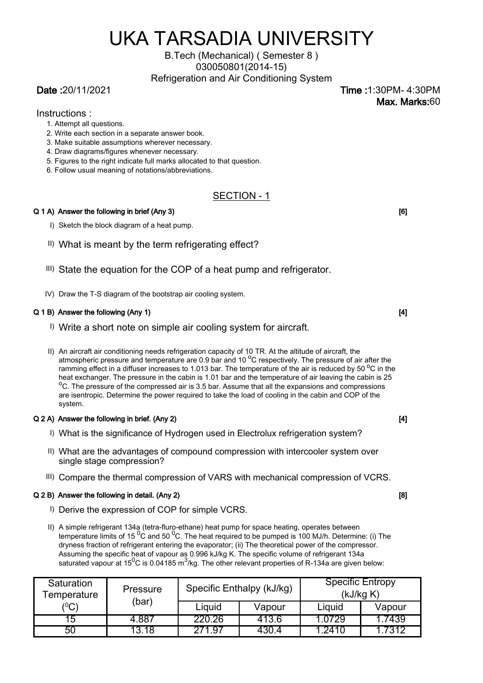# UKA TARSADIA UNIVERSITY

# B.Tech (Mechanical) ( Semester 8 ) 030050801(2014-15)

Refrigeration and Air Conditioning System

Date :20/11/2021 Time :1:30PM- 4:30PM Max. Marks:60

Instructions :

- 1. Attempt all questions.
- 2. Write each section in a separate answer book.
- 3. Make suitable assumptions wherever necessary.
- 4. Draw diagrams/figures whenever necessary.
- 5. Figures to the right indicate full marks allocated to that question.
- 6. Follow usual meaning of notations/abbreviations.

# SECTION - 1

# $Q$  1 A) Answer the following in brief (Any 3)  $[6]$

- I) Sketch the block diagram of a heat pump.
- II) What is meant by the term refrigerating effect?
- III) State the equation for the COP of a heat pump and refrigerator.
- IV) Draw the T-S diagram of the bootstrap air cooling system.

# Q 1 B) Answer the following (Any 1) [4] [4] C and the following (Any 1) [4] [4] [4]  $\qquad \qquad$  [4]

- I) Write a short note on simple air cooling system for aircraft.
- II) An aircraft air conditioning needs refrigeration capacity of 10 TR. At the altitude of aircraft, the atmospheric pressure and temperature are 0.9 bar and 10 $\rm{^{\circ}C}$  respectively. The pressure of air after the ramming effect in a diffuser increases to 1.013 bar. The temperature of the air is reduced by 50  $^{\circ}$ C in the heat exchanger. The pressure in the cabin is 1.01 bar and the temperature of air leaving the cabin is 25  $\mathrm{^{0}C}$ . The pressure of the compressed air is 3.5 bar. Assume that all the expansions and compressions are isentropic. Determine the power required to take the load of cooling in the cabin and COP of the system.

# $Q 2 A$ ) Answer the following in brief. (Any 2)  $q_1$  [4]  $q_2$  [4]  $q_3$  [4]  $q_4$  [4]  $q_5$  [4]  $q_6$  [4]  $q_7$  [4]  $q_8$  [4]  $q_9$  [4]  $q_9$  [4]  $q_9$  [4]  $q_9$  [4]  $q_9$  [4]  $q_9$  [4]  $q_9$  [4]  $q_9$  [4]  $q_9$  [4]  $q_9$

- I) What is the significance of Hydrogen used in Electrolux refrigeration system?
- II) What are the advantages of compound compression with intercooler system over single stage compression?
- III) Compare the thermal compression of VARS with mechanical compression of VCRS.

# $Q 2 B$ ) Answer the following in detail. (Any 2)  $[8]$

- I) Derive the expression of COP for simple VCRS.
- II) A simple refrigerant 134a (tetra-fluro-ethane) heat pump for space heating, operates between temperature limits of 15 $^{0}$ C and 50 $^{0}$ C. The heat required to be pumped is 100 MJ/h. Determine: (i) The dryness fraction of refrigerant entering the evaporator; (ii) The theoretical power of the compressor. Assuming the specific heat of vapour as 0.996 kJ/kg K. The specific volume of refrigerant 134a saturated vapour at 15<sup>0</sup>C is 0.04185 m<sup>3</sup>/kg. The other relevant properties of R-134a are given below:

| Saturation<br>Femperature | Pressure<br>(bar) | Specific Enthalpy (kJ/kg) |        | <b>Specific Entropy</b><br>(kJ/kg K) |        |
|---------------------------|-------------------|---------------------------|--------|--------------------------------------|--------|
| ${}^{'}0C)$               |                   | Liguid                    | Vapour | Liquid                               | Vapour |
| 15                        | 4.887             | 220.26                    | 413.6  | <u>ຳ 0729</u>                        | .7439  |
| 50                        | 1 X               | 71 Q7                     | 4304   | - 2410                               | 7312   |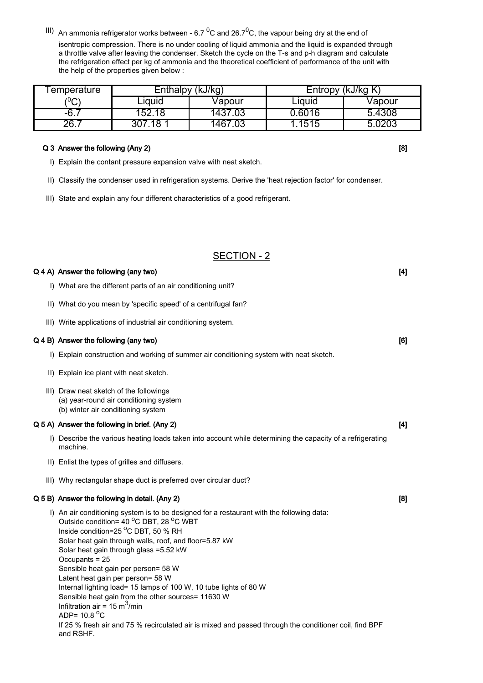isentropic compression. There is no under cooling of liquid ammonia and the liquid is expanded through a throttle valve after leaving the condenser. Sketch the cycle on the T-s and p-h diagram and calculate the refrigeration effect per kg of ammonia and the theoretical coefficient of performance of the unit with the help of the properties given below :  $\frac{1}{10}$  An ammonia refrigerator works between - 6.7<sup>0</sup>C and 26.7<sup>0</sup>C, the vapour being dry at the end of

| l emperature | Enthalpy (kJ/kg) |         | Entropy (kJ/kg K) |        |  |
|--------------|------------------|---------|-------------------|--------|--|
| $\rm ^{10}C$ | ∟iquid           | Vapour  | Liquid            | Vapour |  |
| -6.,         | 152.18           | 1437.03 | 0.6016            | 5.4308 |  |
| 26.7         | .18<br>307.      | 1467.03 | .1515             | 5.0203 |  |

### Q 3 Answer the following (Any 2) **Example 20 and 20 and 20 and 20 and 20 and 20 and 20 and 20 and 20 and 20 and 20 and 20 and 20 and 20 and 20 and 20 and 20 and 20 and 20 and 20 and 20 and 20 and 20 and 20 and 20 and 20 an**

- I) Explain the contant pressure expansion valve with neat sketch.
- II) Classify the condenser used in refrigeration systems. Derive the 'heat rejection factor' for condenser.
- III) State and explain any four different characteristics of a good refrigerant.

# SECTION - 2

## $Q$  4 A) Answer the following (any two)  $q$  and  $q$  and  $q$  and  $q$  and  $q$  and  $q$  and  $q$  and  $q$  and  $q$  and  $q$  and  $q$  and  $q$  and  $q$  and  $q$  and  $q$  and  $q$  and  $q$  and  $q$  and  $q$  and  $q$  and  $q$  and  $q$  and  $q$  a

- I) What are the different parts of an air conditioning unit?
- II) What do you mean by 'specific speed' of a centrifugal fan?
- III) Write applications of industrial air conditioning system.

## Q 4 B) Answer the following (any two) **EXECUTE:**  $\overline{a}$  (6) **COVERTING 1899 COVERTING 16**

- I) Explain construction and working of summer air conditioning system with neat sketch.
- II) Explain ice plant with neat sketch.
- III) Draw neat sketch of the followings
	- (a) year-round air conditioning system
- (b) winter air conditioning system

# $Q$  5 A) Answer the following in brief. (Any 2)  $[4]$

- I) Describe the various heating loads taken into account while determining the capacity of a refrigerating machine.
- II) Enlist the types of grilles and diffusers.
- III) Why rectangular shape duct is preferred over circular duct?

# $Q$  5 B) Answer the following in detail. (Any 2)  $\qquad \qquad$  [8]  $\qquad \qquad$  [8]

I) An air conditioning system is to be designed for a restaurant with the following data: Outside condition=  $40^{\circ}$ C DBT,  $28^{\circ}$ C WBT Inside condition=25 °C DBT, 50 % RH Solar heat gain through walls, roof, and floor=5.87 kW Solar heat gain through glass =5.52 kW Occupants = 25 Sensible heat gain per person= 58 W Latent heat gain per person= 58 W Internal lighting load= 15 lamps of 100 W, 10 tube lights of 80 W Sensible heat gain from the other sources= 11630 W Infiltration air = 15 m<sup>3</sup>/min ADP=  $10.8<sup>o</sup>C$ If 25 % fresh air and 75 % recirculated air is mixed and passed through the conditioner coil, find BPF and RSHF.